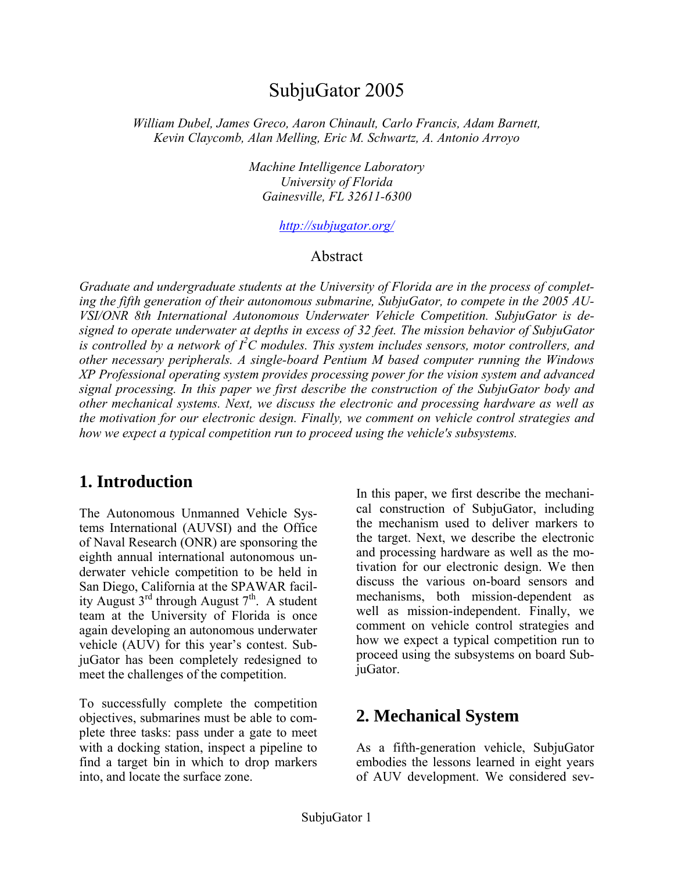# SubjuGator 2005

*William Dubel, James Greco, Aaron Chinault, Carlo Francis, Adam Barnett, Kevin Claycomb, Alan Melling, Eric M. Schwartz, A. Antonio Arroyo* 

> *Machine Intelligence Laboratory University of Florida Gainesville, FL 32611-6300*

> > *http://subjugator.org/*

#### Abstract

*Graduate and undergraduate students at the University of Florida are in the process of completing the fifth generation of their autonomous submarine, SubjuGator, to compete in the 2005 AU-VSI/ONR 8th International Autonomous Underwater Vehicle Competition. SubjuGator is designed to operate underwater at depths in excess of 32 feet. The mission behavior of SubjuGator is controlled by a network of I<sup>2</sup> C modules. This system includes sensors, motor controllers, and other necessary peripherals. A single-board Pentium M based computer running the Windows XP Professional operating system provides processing power for the vision system and advanced signal processing. In this paper we first describe the construction of the SubjuGator body and other mechanical systems. Next, we discuss the electronic and processing hardware as well as the motivation for our electronic design. Finally, we comment on vehicle control strategies and how we expect a typical competition run to proceed using the vehicle's subsystems.* 

# **1. Introduction**

The Autonomous Unmanned Vehicle Systems International (AUVSI) and the Office of Naval Research (ONR) are sponsoring the eighth annual international autonomous underwater vehicle competition to be held in San Diego, California at the SPAWAR facility August  $3^{rd}$  through August  $7^{th}$ . A student team at the University of Florida is once again developing an autonomous underwater vehicle (AUV) for this year's contest. SubjuGator has been completely redesigned to meet the challenges of the competition.

To successfully complete the competition objectives, submarines must be able to complete three tasks: pass under a gate to meet with a docking station, inspect a pipeline to find a target bin in which to drop markers into, and locate the surface zone.

In this paper, we first describe the mechanical construction of SubjuGator, including the mechanism used to deliver markers to the target. Next, we describe the electronic and processing hardware as well as the motivation for our electronic design. We then discuss the various on-board sensors and mechanisms, both mission-dependent as well as mission-independent. Finally, we comment on vehicle control strategies and how we expect a typical competition run to proceed using the subsystems on board SubjuGator.

# **2. Mechanical System**

As a fifth-generation vehicle, SubjuGator embodies the lessons learned in eight years of AUV development. We considered sev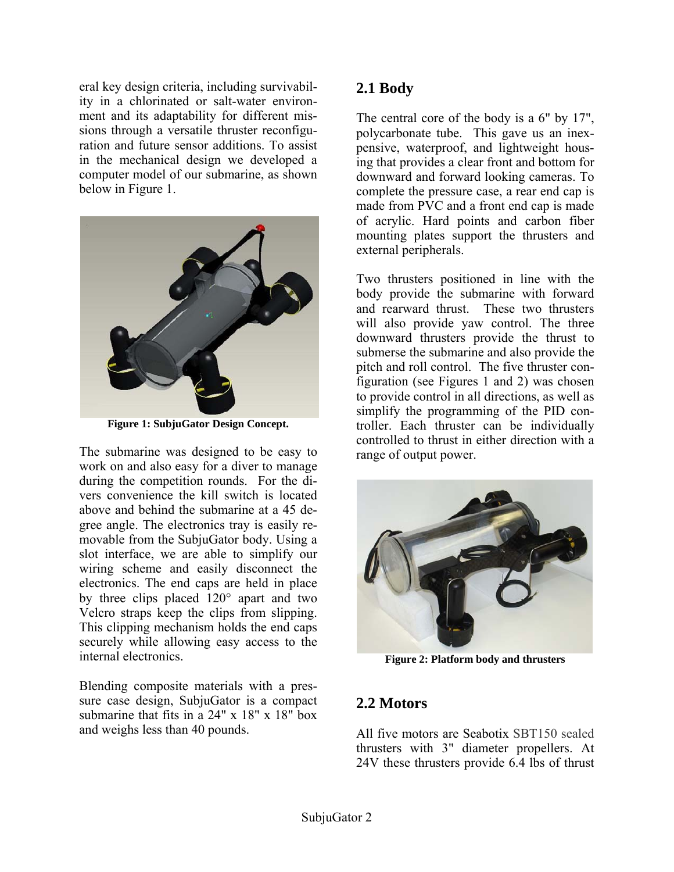eral key design criteria, including survivability in a chlorinated or salt-water environment and its adaptability for different missions through a versatile thruster reconfiguration and future sensor additions. To assist in the mechanical design we developed a computer model of our submarine, as shown below in Figure 1.



**Figure 1: SubjuGator Design Concept.** 

The submarine was designed to be easy to work on and also easy for a diver to manage during the competition rounds. For the divers convenience the kill switch is located above and behind the submarine at a 45 degree angle. The electronics tray is easily removable from the SubjuGator body. Using a slot interface, we are able to simplify our wiring scheme and easily disconnect the electronics. The end caps are held in place by three clips placed 120° apart and two Velcro straps keep the clips from slipping. This clipping mechanism holds the end caps securely while allowing easy access to the internal electronics.

Blending composite materials with a pressure case design, SubjuGator is a compact submarine that fits in a 24" x 18" x 18" box and weighs less than 40 pounds.

## **2.1 Body**

The central core of the body is a 6" by 17". polycarbonate tube. This gave us an inexpensive, waterproof, and lightweight housing that provides a clear front and bottom for downward and forward looking cameras. To complete the pressure case, a rear end cap is made from PVC and a front end cap is made of acrylic. Hard points and carbon fiber mounting plates support the thrusters and external peripherals.

Two thrusters positioned in line with the body provide the submarine with forward and rearward thrust. These two thrusters will also provide yaw control. The three downward thrusters provide the thrust to submerse the submarine and also provide the pitch and roll control. The five thruster configuration (see Figures 1 and 2) was chosen to provide control in all directions, as well as simplify the programming of the PID controller. Each thruster can be individually controlled to thrust in either direction with a range of output power.



**Figure 2: Platform body and thrusters** 

## **2.2 Motors**

All five motors are Seabotix SBT150 sealed thrusters with 3" diameter propellers. At 24V these thrusters provide 6.4 lbs of thrust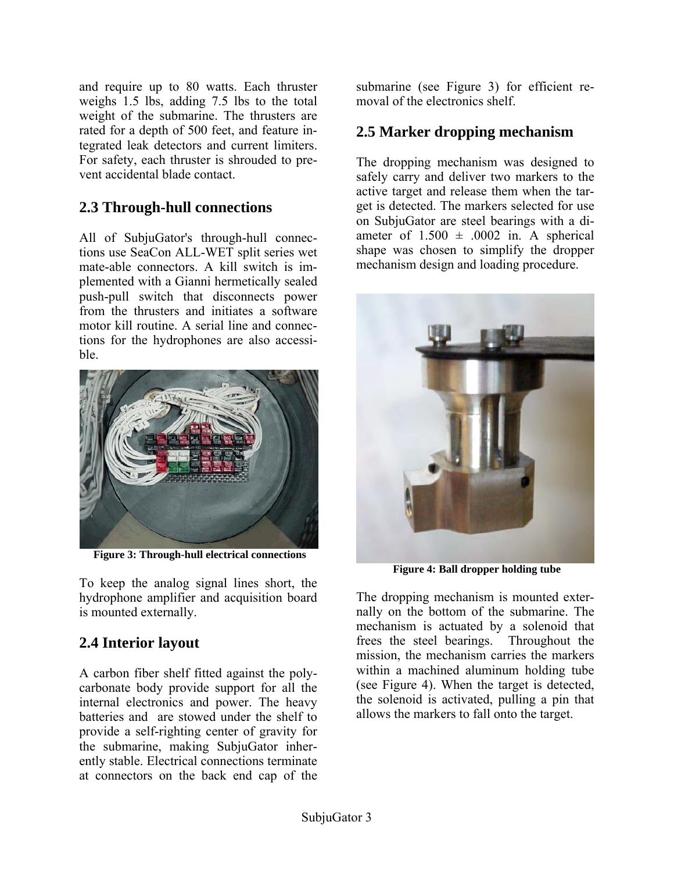and require up to 80 watts. Each thruster weighs 1.5 lbs, adding 7.5 lbs to the total weight of the submarine. The thrusters are rated for a depth of 500 feet, and feature integrated leak detectors and current limiters. For safety, each thruster is shrouded to prevent accidental blade contact.

## **2.3 Through-hull connections**

All of SubjuGator's through-hull connections use SeaCon ALL-WET split series wet mate-able connectors. A kill switch is implemented with a Gianni hermetically sealed push-pull switch that disconnects power from the thrusters and initiates a software motor kill routine. A serial line and connections for the hydrophones are also accessible.



**Figure 3: Through-hull electrical connections** 

To keep the analog signal lines short, the hydrophone amplifier and acquisition board is mounted externally.

# **2.4 Interior layout**

A carbon fiber shelf fitted against the polycarbonate body provide support for all the internal electronics and power. The heavy batteries and are stowed under the shelf to provide a self-righting center of gravity for the submarine, making SubjuGator inherently stable. Electrical connections terminate at connectors on the back end cap of the

submarine (see Figure 3) for efficient removal of the electronics shelf.

# **2.5 Marker dropping mechanism**

The dropping mechanism was designed to safely carry and deliver two markers to the active target and release them when the target is detected. The markers selected for use on SubjuGator are steel bearings with a diameter of  $1.500 \pm .0002$  in. A spherical shape was chosen to simplify the dropper mechanism design and loading procedure.



**Figure 4: Ball dropper holding tube** 

The dropping mechanism is mounted externally on the bottom of the submarine. The mechanism is actuated by a solenoid that frees the steel bearings. Throughout the mission, the mechanism carries the markers within a machined aluminum holding tube (see Figure 4). When the target is detected, the solenoid is activated, pulling a pin that allows the markers to fall onto the target.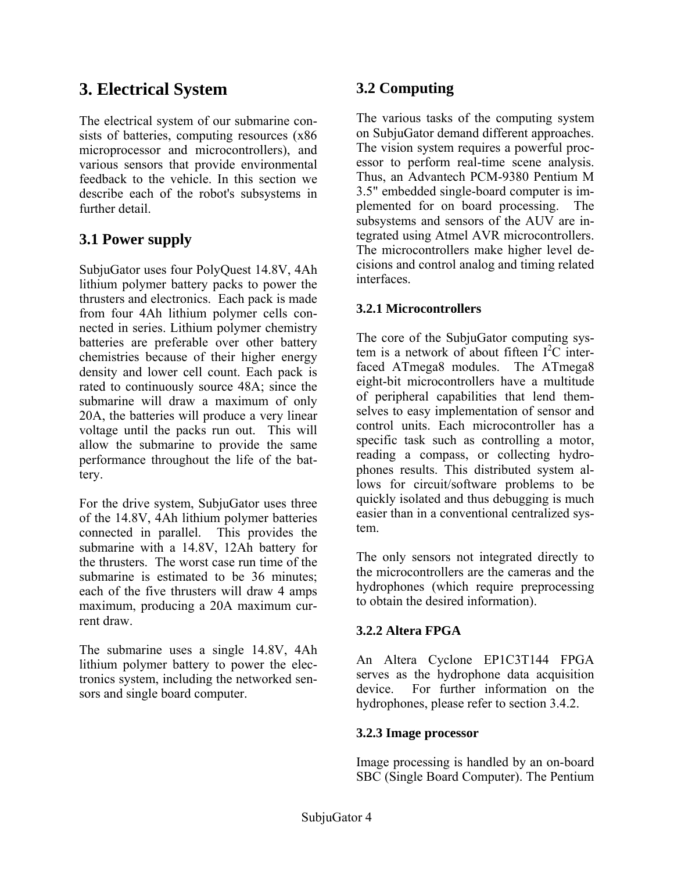# **3. Electrical System**

The electrical system of our submarine consists of batteries, computing resources (x86 microprocessor and microcontrollers), and various sensors that provide environmental feedback to the vehicle. In this section we describe each of the robot's subsystems in further detail.

# **3.1 Power supply**

SubjuGator uses four PolyQuest 14.8V, 4Ah lithium polymer battery packs to power the thrusters and electronics. Each pack is made from four 4Ah lithium polymer cells connected in series. Lithium polymer chemistry batteries are preferable over other battery chemistries because of their higher energy density and lower cell count. Each pack is rated to continuously source 48A; since the submarine will draw a maximum of only 20A, the batteries will produce a very linear voltage until the packs run out. This will allow the submarine to provide the same performance throughout the life of the battery.

For the drive system, SubjuGator uses three of the 14.8V, 4Ah lithium polymer batteries connected in parallel. This provides the submarine with a 14.8V, 12Ah battery for the thrusters. The worst case run time of the submarine is estimated to be 36 minutes; each of the five thrusters will draw 4 amps maximum, producing a 20A maximum current draw.

The submarine uses a single 14.8V, 4Ah lithium polymer battery to power the electronics system, including the networked sensors and single board computer.

# **3.2 Computing**

The various tasks of the computing system on SubjuGator demand different approaches. The vision system requires a powerful processor to perform real-time scene analysis. Thus, an Advantech PCM-9380 Pentium M 3.5" embedded single-board computer is implemented for on board processing. The subsystems and sensors of the AUV are integrated using Atmel AVR microcontrollers. The microcontrollers make higher level decisions and control analog and timing related interfaces.

#### **3.2.1 Microcontrollers**

The core of the SubjuGator computing system is a network of about fifteen  $I^2C$  interfaced ATmega8 modules. The ATmega8 eight-bit microcontrollers have a multitude of peripheral capabilities that lend themselves to easy implementation of sensor and control units. Each microcontroller has a specific task such as controlling a motor, reading a compass, or collecting hydrophones results. This distributed system allows for circuit/software problems to be quickly isolated and thus debugging is much easier than in a conventional centralized system.

The only sensors not integrated directly to the microcontrollers are the cameras and the hydrophones (which require preprocessing to obtain the desired information).

#### **3.2.2 Altera FPGA**

An Altera Cyclone EP1C3T144 FPGA serves as the hydrophone data acquisition device. For further information on the hydrophones, please refer to section 3.4.2.

#### **3.2.3 Image processor**

Image processing is handled by an on-board SBC (Single Board Computer). The Pentium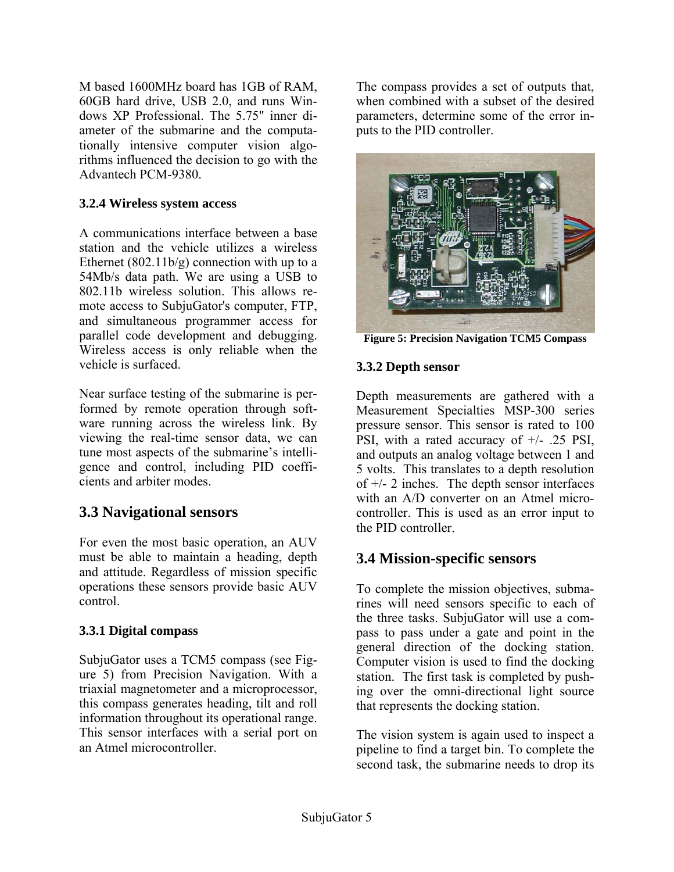M based 1600MHz board has 1GB of RAM, 60GB hard drive, USB 2.0, and runs Windows XP Professional. The 5.75" inner diameter of the submarine and the computationally intensive computer vision algorithms influenced the decision to go with the Advantech PCM-9380.

#### **3.2.4 Wireless system access**

A communications interface between a base station and the vehicle utilizes a wireless Ethernet  $(802.11b/g)$  connection with up to a 54Mb/s data path. We are using a USB to 802.11b wireless solution. This allows remote access to SubjuGator's computer, FTP, and simultaneous programmer access for parallel code development and debugging. Wireless access is only reliable when the vehicle is surfaced.

Near surface testing of the submarine is performed by remote operation through software running across the wireless link. By viewing the real-time sensor data, we can tune most aspects of the submarine's intelligence and control, including PID coefficients and arbiter modes.

## **3.3 Navigational sensors**

For even the most basic operation, an AUV must be able to maintain a heading, depth and attitude. Regardless of mission specific operations these sensors provide basic AUV control.

#### **3.3.1 Digital compass**

SubjuGator uses a TCM5 compass (see Figure 5) from Precision Navigation. With a triaxial magnetometer and a microprocessor, this compass generates heading, tilt and roll information throughout its operational range. This sensor interfaces with a serial port on an Atmel microcontroller.

The compass provides a set of outputs that, when combined with a subset of the desired parameters, determine some of the error inputs to the PID controller.



**Figure 5: Precision Navigation TCM5 Compass** 

#### **3.3.2 Depth sensor**

Depth measurements are gathered with a Measurement Specialties MSP-300 series pressure sensor. This sensor is rated to 100 PSI, with a rated accuracy of +/- .25 PSI, and outputs an analog voltage between 1 and 5 volts. This translates to a depth resolution of  $+/- 2$  inches. The depth sensor interfaces with an A/D converter on an Atmel microcontroller. This is used as an error input to the PID controller.

## **3.4 Mission-specific sensors**

To complete the mission objectives, submarines will need sensors specific to each of the three tasks. SubjuGator will use a compass to pass under a gate and point in the general direction of the docking station. Computer vision is used to find the docking station. The first task is completed by pushing over the omni-directional light source that represents the docking station.

The vision system is again used to inspect a pipeline to find a target bin. To complete the second task, the submarine needs to drop its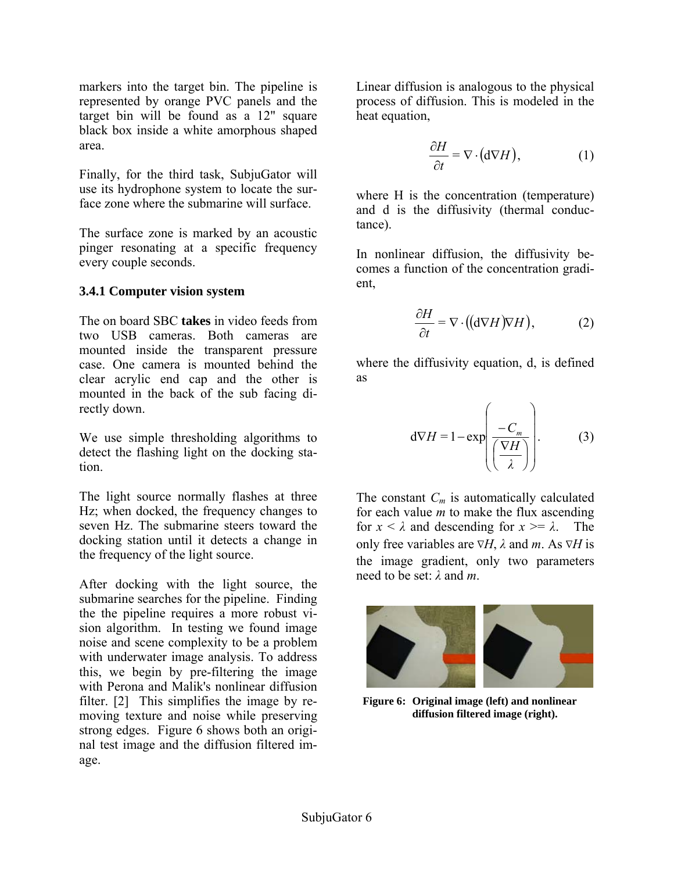markers into the target bin. The pipeline is represented by orange PVC panels and the target bin will be found as a 12" square black box inside a white amorphous shaped area.

Finally, for the third task, SubjuGator will use its hydrophone system to locate the surface zone where the submarine will surface.

The surface zone is marked by an acoustic pinger resonating at a specific frequency every couple seconds.

#### **3.4.1 Computer vision system**

The on board SBC **takes** in video feeds from two USB cameras. Both cameras are mounted inside the transparent pressure case. One camera is mounted behind the clear acrylic end cap and the other is mounted in the back of the sub facing directly down.

We use simple thresholding algorithms to detect the flashing light on the docking station.

The light source normally flashes at three Hz; when docked, the frequency changes to seven Hz. The submarine steers toward the docking station until it detects a change in the frequency of the light source.

After docking with the light source, the submarine searches for the pipeline. Finding the the pipeline requires a more robust vision algorithm. In testing we found image noise and scene complexity to be a problem with underwater image analysis. To address this, we begin by pre-filtering the image with Perona and Malik's nonlinear diffusion filter. [2] This simplifies the image by removing texture and noise while preserving strong edges. Figure 6 shows both an original test image and the diffusion filtered image.

Linear diffusion is analogous to the physical process of diffusion. This is modeled in the heat equation,

$$
\frac{\partial H}{\partial t} = \nabla \cdot (\mathbf{d} \nabla H),\tag{1}
$$

where H is the concentration (temperature) and d is the diffusivity (thermal conductance).

In nonlinear diffusion, the diffusivity becomes a function of the concentration gradient,

$$
\frac{\partial H}{\partial t} = \nabla \cdot ((d\nabla H)\nabla H),\tag{2}
$$

where the diffusivity equation, d, is defined as

$$
d\nabla H = 1 - \exp\left(\frac{-C_m}{\left(\frac{\nabla H}{\lambda}\right)}\right).
$$
 (3)

The constant *Cm* is automatically calculated for each value *m* to make the flux ascending for  $x < \lambda$  and descending for  $x > = \lambda$ . only free variables are ∇*H*, *λ* and *m*. As ∇*H* is the image gradient, only two parameters need to be set: *λ* and *m*.



**Figure 6: Original image (left) and nonlinear diffusion filtered image (right).**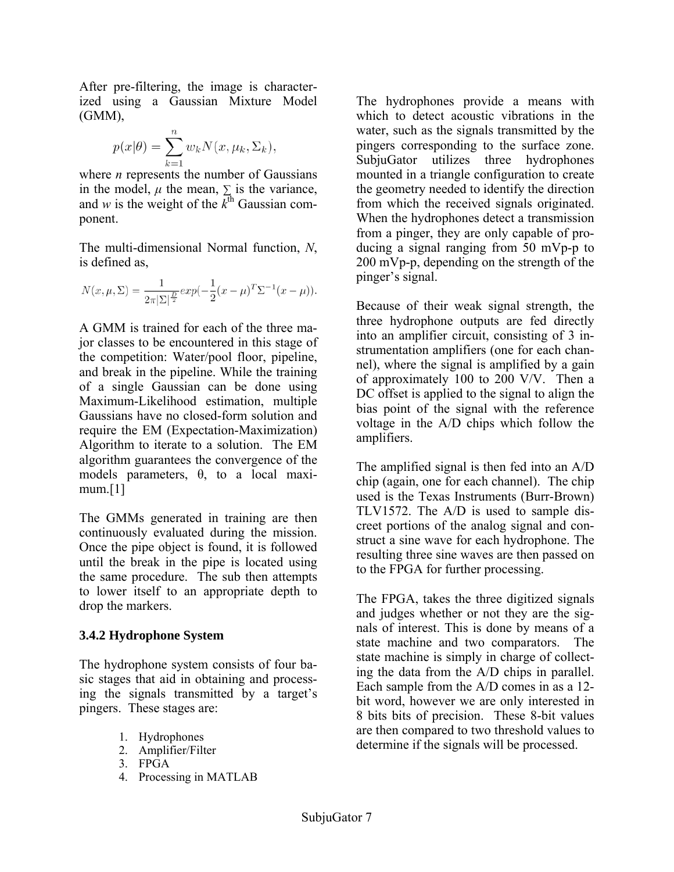After pre-filtering, the image is characterized using a Gaussian Mixture Model  $(GMM)$ ,

$$
p(x|\theta) = \sum_{k=1}^{n} w_k N(x, \mu_k, \Sigma_k),
$$

where *n* represents the number of Gaussians in the model,  $\mu$  the mean,  $\Sigma$  is the variance, and *w* is the weight of the  $\overline{k}^{\text{th}}$  Gaussian component.

The multi-dimensional Normal function, *N*, is defined as,

$$
N(x, \mu, \Sigma) = \frac{1}{2\pi |\Sigma|^{\frac{D}{2}}} exp(-\frac{1}{2}(x - \mu)^{T} \Sigma^{-1} (x - \mu)).
$$

A GMM is trained for each of the three major classes to be encountered in this stage of the competition: Water/pool floor, pipeline, and break in the pipeline. While the training of a single Gaussian can be done using Maximum-Likelihood estimation, multiple Gaussians have no closed-form solution and require the EM (Expectation-Maximization) Algorithm to iterate to a solution. The EM algorithm guarantees the convergence of the models parameters, θ, to a local maximum.[1]

The GMMs generated in training are then continuously evaluated during the mission. Once the pipe object is found, it is followed until the break in the pipe is located using the same procedure. The sub then attempts to lower itself to an appropriate depth to drop the markers.

#### **3.4.2 Hydrophone System**

The hydrophone system consists of four basic stages that aid in obtaining and processing the signals transmitted by a target's pingers. These stages are:

- 1. Hydrophones
- 2. Amplifier/Filter
- 3. FPGA
- 4. Processing in MATLAB

The hydrophones provide a means with which to detect acoustic vibrations in the water, such as the signals transmitted by the pingers corresponding to the surface zone. SubjuGator utilizes three hydrophones mounted in a triangle configuration to create the geometry needed to identify the direction from which the received signals originated. When the hydrophones detect a transmission from a pinger, they are only capable of producing a signal ranging from 50 mVp-p to 200 mVp-p, depending on the strength of the pinger's signal.

Because of their weak signal strength, the three hydrophone outputs are fed directly into an amplifier circuit, consisting of 3 instrumentation amplifiers (one for each channel), where the signal is amplified by a gain of approximately 100 to 200 V/V. Then a DC offset is applied to the signal to align the bias point of the signal with the reference voltage in the A/D chips which follow the amplifiers.

The amplified signal is then fed into an A/D chip (again, one for each channel). The chip used is the Texas Instruments (Burr-Brown) TLV1572. The A/D is used to sample discreet portions of the analog signal and construct a sine wave for each hydrophone. The resulting three sine waves are then passed on to the FPGA for further processing.

The FPGA, takes the three digitized signals and judges whether or not they are the signals of interest. This is done by means of a state machine and two comparators. The state machine is simply in charge of collecting the data from the A/D chips in parallel. Each sample from the A/D comes in as a 12 bit word, however we are only interested in 8 bits bits of precision. These 8-bit values are then compared to two threshold values to determine if the signals will be processed.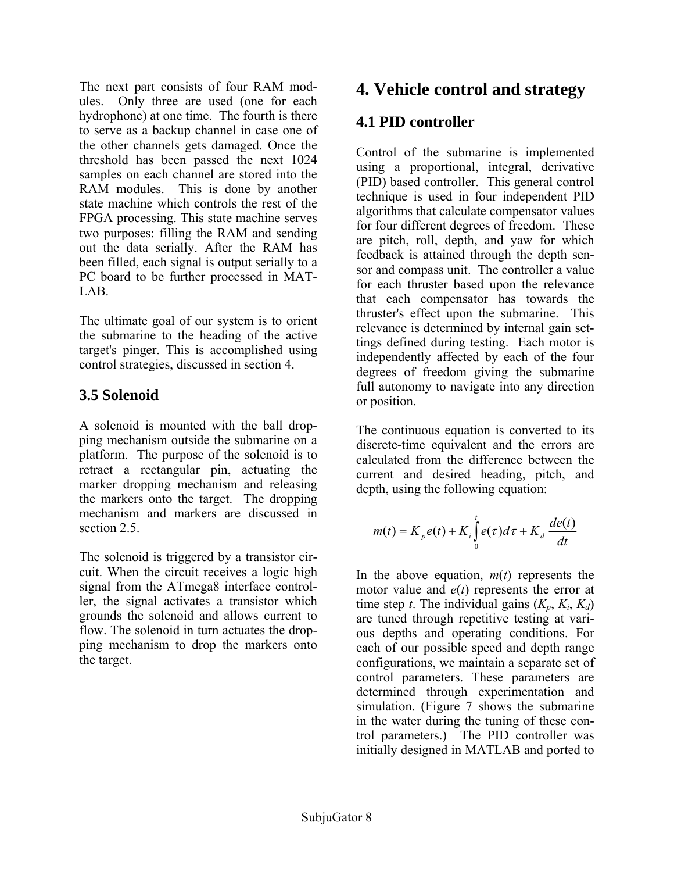The next part consists of four RAM modules. Only three are used (one for each hydrophone) at one time. The fourth is there to serve as a backup channel in case one of the other channels gets damaged. Once the threshold has been passed the next 1024 samples on each channel are stored into the RAM modules. This is done by another state machine which controls the rest of the FPGA processing. This state machine serves two purposes: filling the RAM and sending out the data serially. After the RAM has been filled, each signal is output serially to a PC board to be further processed in MAT-LAB.

The ultimate goal of our system is to orient the submarine to the heading of the active target's pinger. This is accomplished using control strategies, discussed in section 4.

# **3.5 Solenoid**

A solenoid is mounted with the ball dropping mechanism outside the submarine on a platform. The purpose of the solenoid is to retract a rectangular pin, actuating the marker dropping mechanism and releasing the markers onto the target. The dropping mechanism and markers are discussed in section 2.5.

The solenoid is triggered by a transistor circuit. When the circuit receives a logic high signal from the ATmega8 interface controller, the signal activates a transistor which grounds the solenoid and allows current to flow. The solenoid in turn actuates the dropping mechanism to drop the markers onto the target.

# **4. Vehicle control and strategy**

# **4.1 PID controller**

Control of the submarine is implemented using a proportional, integral, derivative (PID) based controller. This general control technique is used in four independent PID algorithms that calculate compensator values for four different degrees of freedom. These are pitch, roll, depth, and yaw for which feedback is attained through the depth sensor and compass unit. The controller a value for each thruster based upon the relevance that each compensator has towards the thruster's effect upon the submarine. This relevance is determined by internal gain settings defined during testing. Each motor is independently affected by each of the four degrees of freedom giving the submarine full autonomy to navigate into any direction or position.

The continuous equation is converted to its discrete-time equivalent and the errors are calculated from the difference between the current and desired heading, pitch, and depth, using the following equation:

$$
m(t) = K_p e(t) + K_i \int_0^t e(\tau) d\tau + K_d \frac{de(t)}{dt}
$$

In the above equation,  $m(t)$  represents the motor value and *e*(*t*) represents the error at time step *t*. The individual gains  $(K_p, K_i, K_d)$ are tuned through repetitive testing at various depths and operating conditions. For each of our possible speed and depth range configurations, we maintain a separate set of control parameters. These parameters are determined through experimentation and simulation. (Figure 7 shows the submarine in the water during the tuning of these control parameters.) The PID controller was initially designed in MATLAB and ported to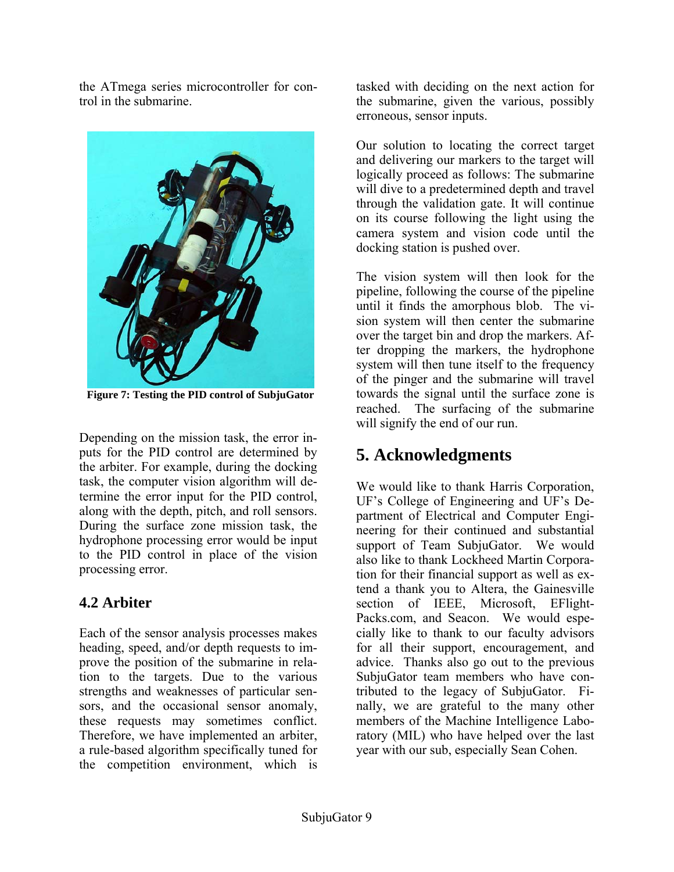the ATmega series microcontroller for control in the submarine.



**Figure 7: Testing the PID control of SubjuGator** 

Depending on the mission task, the error inputs for the PID control are determined by the arbiter. For example, during the docking task, the computer vision algorithm will determine the error input for the PID control, along with the depth, pitch, and roll sensors. During the surface zone mission task, the hydrophone processing error would be input to the PID control in place of the vision processing error.

# **4.2 Arbiter**

Each of the sensor analysis processes makes heading, speed, and/or depth requests to improve the position of the submarine in relation to the targets. Due to the various strengths and weaknesses of particular sensors, and the occasional sensor anomaly, these requests may sometimes conflict. Therefore, we have implemented an arbiter, a rule-based algorithm specifically tuned for the competition environment, which is

tasked with deciding on the next action for the submarine, given the various, possibly erroneous, sensor inputs.

Our solution to locating the correct target and delivering our markers to the target will logically proceed as follows: The submarine will dive to a predetermined depth and travel through the validation gate. It will continue on its course following the light using the camera system and vision code until the docking station is pushed over.

The vision system will then look for the pipeline, following the course of the pipeline until it finds the amorphous blob. The vision system will then center the submarine over the target bin and drop the markers. After dropping the markers, the hydrophone system will then tune itself to the frequency of the pinger and the submarine will travel towards the signal until the surface zone is reached. The surfacing of the submarine will signify the end of our run.

# **5. Acknowledgments**

We would like to thank Harris Corporation, UF's College of Engineering and UF's Department of Electrical and Computer Engineering for their continued and substantial support of Team SubjuGator. We would also like to thank Lockheed Martin Corporation for their financial support as well as extend a thank you to Altera, the Gainesville section of IEEE, Microsoft, EFlight-Packs.com, and Seacon. We would especially like to thank to our faculty advisors for all their support, encouragement, and advice. Thanks also go out to the previous SubjuGator team members who have contributed to the legacy of SubjuGator. Finally, we are grateful to the many other members of the Machine Intelligence Laboratory (MIL) who have helped over the last year with our sub, especially Sean Cohen.